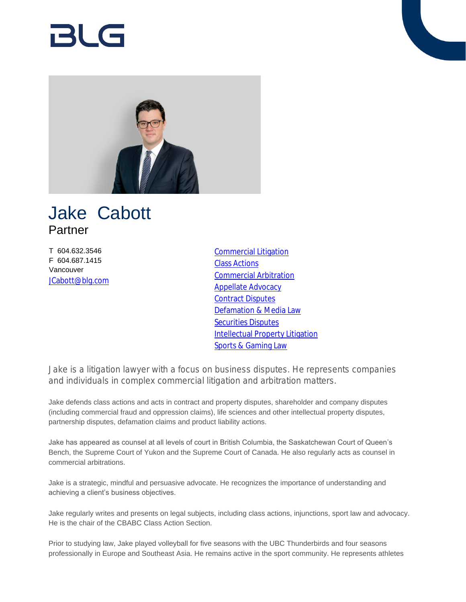# 21 C –



## Jake Cabott Partner

T 604.632.3546 F 604.687.1415 Vancouver [JCabott@blg.com](mailto:JCabott@blg.com) [Commercial Litigation](https://www.blg.com/en/services/practice-areas/disputes/commercial-litigation) [Class Actions](https://www.blg.com/en/services/practice-areas/disputes/class-actions) [Commercial Arbitration](https://www.blg.com/en/services/practice-areas/disputes/commercial-arbitration) [Appellate Advocacy](https://www.blg.com/en/services/practice-areas/disputes/appellate-advocacy) [Contract Disputes](https://www.blg.com/en/services/practice-areas/disputes/contract-disputes) [Defamation & Media Law](https://www.blg.com/en/services/practice-areas/disputes/defamation-media-law) [Securities Disputes](https://www.blg.com/en/services/practice-areas/disputes/securities-disputes) [Intellectual Property Litigation](https://www.blg.com/en/services/practice-areas/disputes/ip-disputes-litigation) [Sports & Gaming Law](https://www.blg.com/en/services/industries/sports-gaming-law)

Jake is a litigation lawyer with a focus on business disputes. He represents companies and individuals in complex commercial litigation and arbitration matters.

Jake defends class actions and acts in contract and property disputes, shareholder and company disputes (including commercial fraud and oppression claims), life sciences and other intellectual property disputes, partnership disputes, defamation claims and product liability actions.

Jake has appeared as counsel at all levels of court in British Columbia, the Saskatchewan Court of Queen's Bench, the Supreme Court of Yukon and the Supreme Court of Canada. He also regularly acts as counsel in commercial arbitrations.

Jake is a strategic, mindful and persuasive advocate. He recognizes the importance of understanding and achieving a client's business objectives.

Jake regularly writes and presents on legal subjects, including class actions, injunctions, sport law and advocacy. He is the chair of the CBABC Class Action Section.

Prior to studying law, Jake played volleyball for five seasons with the UBC Thunderbirds and four seasons professionally in Europe and Southeast Asia. He remains active in the sport community. He represents athletes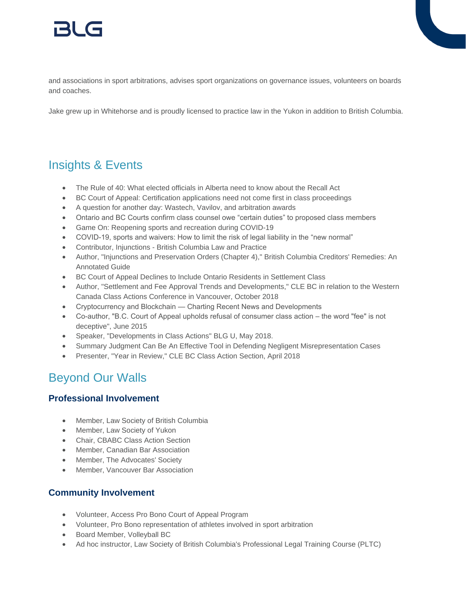

and associations in sport arbitrations, advises sport organizations on governance issues, volunteers on boards and coaches.

Jake grew up in Whitehorse and is proudly licensed to practice law in the Yukon in addition to British Columbia.

## Insights & Events

- The Rule of 40: What elected officials in Alberta need to know about the Recall Act
- BC Court of Appeal: Certification applications need not come first in class proceedings
- A question for another day: Wastech, Vavilov, and arbitration awards
- Ontario and BC Courts confirm class counsel owe "certain duties" to proposed class members
- Game On: Reopening sports and recreation during COVID-19
- COVID-19, sports and waivers: How to limit the risk of legal liability in the "new normal"
- Contributor, Injunctions British Columbia Law and Practice
- Author, "Injunctions and Preservation Orders (Chapter 4)," British Columbia Creditors' Remedies: An Annotated Guide
- BC Court of Appeal Declines to Include Ontario Residents in Settlement Class
- Author, "Settlement and Fee Approval Trends and Developments," CLE BC in relation to the Western Canada Class Actions Conference in Vancouver, October 2018
- Cryptocurrency and Blockchain Charting Recent News and Developments
- Co-author, "B.C. Court of Appeal upholds refusal of consumer class action the word "fee" is not deceptive", June 2015
- Speaker, "Developments in Class Actions" BLG U, May 2018.
- Summary Judgment Can Be An Effective Tool in Defending Negligent Misrepresentation Cases
- Presenter, "Year in Review," CLE BC Class Action Section, April 2018

### Beyond Our Walls

#### **Professional Involvement**

- Member, Law Society of British Columbia
- Member, Law Society of Yukon
- Chair, CBABC Class Action Section
- Member, Canadian Bar Association
- Member, The Advocates' Society
- Member, Vancouver Bar Association

#### **Community Involvement**

- Volunteer, Access Pro Bono Court of Appeal Program
- Volunteer, Pro Bono representation of athletes involved in sport arbitration
- Board Member, Volleyball BC
- Ad hoc instructor, Law Society of British Columbia's Professional Legal Training Course (PLTC)